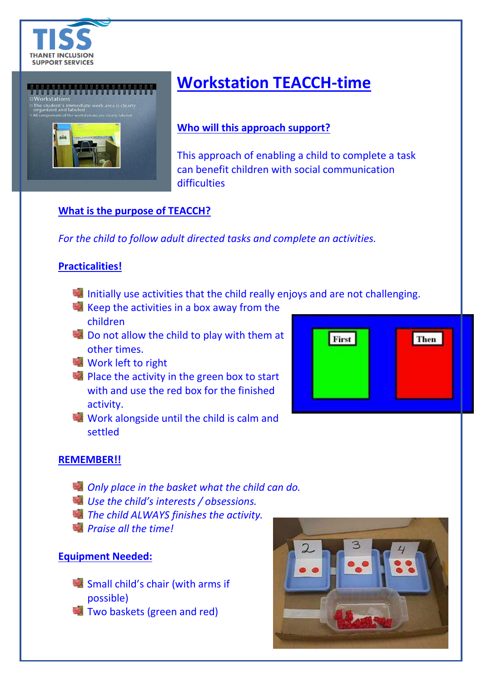



# **Workstation TEACCH-time**

### **Who will this approach support?**

This approach of enabling a child to complete a task can benefit children with social communication difficulties

### **What is the purpose of TEACCH?**

*For the child to follow adult directed tasks and complete an activities.*

### **Practicalities!**

- Initially use activities that the child really enjoys and are not challenging.
- $\mathbb{R}$  Keep the activities in a box away from the children
- Do not allow the child to play with them at other times.
- **Work left to right**
- **Place the activity in the green box to start** with and use the red box for the finished activity.
- Work alongside until the child is calm and settled



#### **REMEMBER!!**

- *Only place in the basket what the child can do.*
- *Use the child's interests / obsessions.*
- *The child ALWAYS finishes the activity.*
- *Praise all the time!*

#### **Equipment Needed:**

- **Small child's chair (with arms if** possible)
- **Two baskets (green and red)**